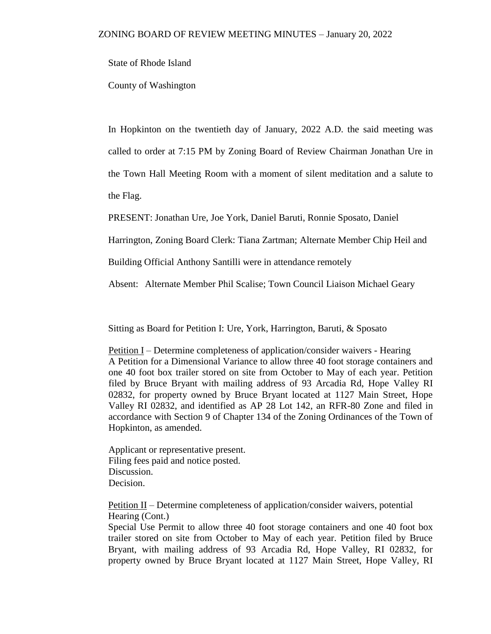State of Rhode Island

County of Washington

In Hopkinton on the twentieth day of January, 2022 A.D. the said meeting was called to order at 7:15 PM by Zoning Board of Review Chairman Jonathan Ure in the Town Hall Meeting Room with a moment of silent meditation and a salute to the Flag.

PRESENT: Jonathan Ure, Joe York, Daniel Baruti, Ronnie Sposato, Daniel

Harrington, Zoning Board Clerk: Tiana Zartman; Alternate Member Chip Heil and

Building Official Anthony Santilli were in attendance remotely

Absent: Alternate Member Phil Scalise; Town Council Liaison Michael Geary

Sitting as Board for Petition I: Ure, York, Harrington, Baruti, & Sposato

Petition I – Determine completeness of application/consider waivers - Hearing A Petition for a Dimensional Variance to allow three 40 foot storage containers and one 40 foot box trailer stored on site from October to May of each year. Petition filed by Bruce Bryant with mailing address of 93 Arcadia Rd, Hope Valley RI 02832, for property owned by Bruce Bryant located at 1127 Main Street, Hope Valley RI 02832, and identified as AP 28 Lot 142, an RFR-80 Zone and filed in accordance with Section 9 of Chapter 134 of the Zoning Ordinances of the Town of Hopkinton, as amended.

Applicant or representative present. Filing fees paid and notice posted. Discussion. Decision.

<u>Petition II</u> – Determine completeness of application/consider waivers, potential Hearing (Cont.)

Special Use Permit to allow three 40 foot storage containers and one 40 foot box trailer stored on site from October to May of each year. Petition filed by Bruce Bryant, with mailing address of 93 Arcadia Rd, Hope Valley, RI 02832, for property owned by Bruce Bryant located at 1127 Main Street, Hope Valley, RI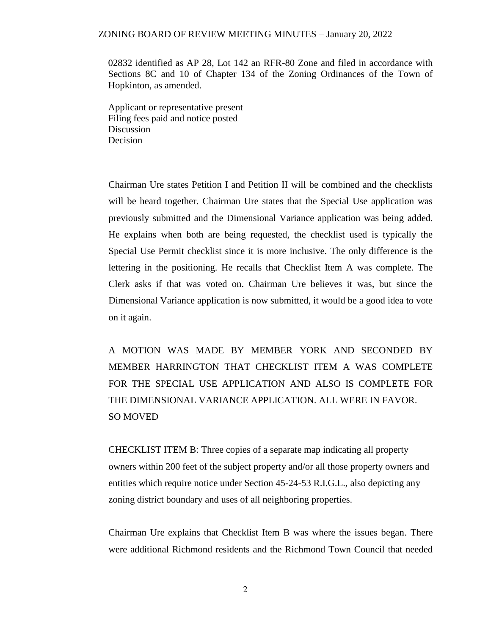02832 identified as AP 28, Lot 142 an RFR-80 Zone and filed in accordance with Sections 8C and 10 of Chapter 134 of the Zoning Ordinances of the Town of Hopkinton, as amended.

Applicant or representative present Filing fees paid and notice posted **Discussion** Decision

Chairman Ure states Petition I and Petition II will be combined and the checklists will be heard together. Chairman Ure states that the Special Use application was previously submitted and the Dimensional Variance application was being added. He explains when both are being requested, the checklist used is typically the Special Use Permit checklist since it is more inclusive. The only difference is the lettering in the positioning. He recalls that Checklist Item A was complete. The Clerk asks if that was voted on. Chairman Ure believes it was, but since the Dimensional Variance application is now submitted, it would be a good idea to vote on it again.

A MOTION WAS MADE BY MEMBER YORK AND SECONDED BY MEMBER HARRINGTON THAT CHECKLIST ITEM A WAS COMPLETE FOR THE SPECIAL USE APPLICATION AND ALSO IS COMPLETE FOR THE DIMENSIONAL VARIANCE APPLICATION. ALL WERE IN FAVOR. SO MOVED

CHECKLIST ITEM B: Three copies of a separate map indicating all property owners within 200 feet of the subject property and/or all those property owners and entities which require notice under Section 45-24-53 R.I.G.L., also depicting any zoning district boundary and uses of all neighboring properties.

Chairman Ure explains that Checklist Item B was where the issues began. There were additional Richmond residents and the Richmond Town Council that needed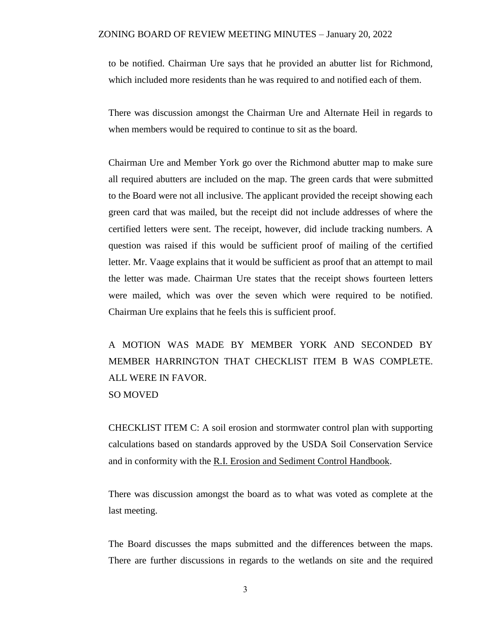to be notified. Chairman Ure says that he provided an abutter list for Richmond, which included more residents than he was required to and notified each of them.

There was discussion amongst the Chairman Ure and Alternate Heil in regards to when members would be required to continue to sit as the board.

Chairman Ure and Member York go over the Richmond abutter map to make sure all required abutters are included on the map. The green cards that were submitted to the Board were not all inclusive. The applicant provided the receipt showing each green card that was mailed, but the receipt did not include addresses of where the certified letters were sent. The receipt, however, did include tracking numbers. A question was raised if this would be sufficient proof of mailing of the certified letter. Mr. Vaage explains that it would be sufficient as proof that an attempt to mail the letter was made. Chairman Ure states that the receipt shows fourteen letters were mailed, which was over the seven which were required to be notified. Chairman Ure explains that he feels this is sufficient proof.

A MOTION WAS MADE BY MEMBER YORK AND SECONDED BY MEMBER HARRINGTON THAT CHECKLIST ITEM B WAS COMPLETE. ALL WERE IN FAVOR. SO MOVED

CHECKLIST ITEM C: A soil erosion and stormwater control plan with supporting calculations based on standards approved by the USDA Soil Conservation Service and in conformity with the R.I. Erosion and Sediment Control Handbook.

There was discussion amongst the board as to what was voted as complete at the last meeting.

The Board discusses the maps submitted and the differences between the maps. There are further discussions in regards to the wetlands on site and the required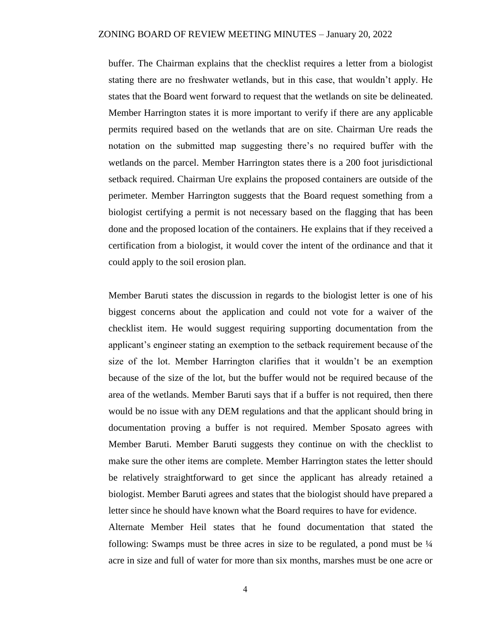buffer. The Chairman explains that the checklist requires a letter from a biologist stating there are no freshwater wetlands, but in this case, that wouldn't apply. He states that the Board went forward to request that the wetlands on site be delineated. Member Harrington states it is more important to verify if there are any applicable permits required based on the wetlands that are on site. Chairman Ure reads the notation on the submitted map suggesting there's no required buffer with the wetlands on the parcel. Member Harrington states there is a 200 foot jurisdictional setback required. Chairman Ure explains the proposed containers are outside of the perimeter. Member Harrington suggests that the Board request something from a biologist certifying a permit is not necessary based on the flagging that has been done and the proposed location of the containers. He explains that if they received a certification from a biologist, it would cover the intent of the ordinance and that it could apply to the soil erosion plan.

Member Baruti states the discussion in regards to the biologist letter is one of his biggest concerns about the application and could not vote for a waiver of the checklist item. He would suggest requiring supporting documentation from the applicant's engineer stating an exemption to the setback requirement because of the size of the lot. Member Harrington clarifies that it wouldn't be an exemption because of the size of the lot, but the buffer would not be required because of the area of the wetlands. Member Baruti says that if a buffer is not required, then there would be no issue with any DEM regulations and that the applicant should bring in documentation proving a buffer is not required. Member Sposato agrees with Member Baruti. Member Baruti suggests they continue on with the checklist to make sure the other items are complete. Member Harrington states the letter should be relatively straightforward to get since the applicant has already retained a biologist. Member Baruti agrees and states that the biologist should have prepared a letter since he should have known what the Board requires to have for evidence.

Alternate Member Heil states that he found documentation that stated the following: Swamps must be three acres in size to be regulated, a pond must be  $\frac{1}{4}$ acre in size and full of water for more than six months, marshes must be one acre or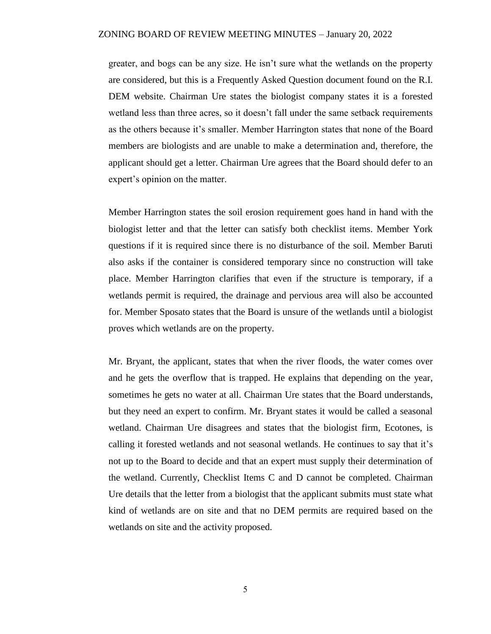greater, and bogs can be any size. He isn't sure what the wetlands on the property are considered, but this is a Frequently Asked Question document found on the R.I. DEM website. Chairman Ure states the biologist company states it is a forested wetland less than three acres, so it doesn't fall under the same setback requirements as the others because it's smaller. Member Harrington states that none of the Board members are biologists and are unable to make a determination and, therefore, the applicant should get a letter. Chairman Ure agrees that the Board should defer to an expert's opinion on the matter.

Member Harrington states the soil erosion requirement goes hand in hand with the biologist letter and that the letter can satisfy both checklist items. Member York questions if it is required since there is no disturbance of the soil. Member Baruti also asks if the container is considered temporary since no construction will take place. Member Harrington clarifies that even if the structure is temporary, if a wetlands permit is required, the drainage and pervious area will also be accounted for. Member Sposato states that the Board is unsure of the wetlands until a biologist proves which wetlands are on the property.

Mr. Bryant, the applicant, states that when the river floods, the water comes over and he gets the overflow that is trapped. He explains that depending on the year, sometimes he gets no water at all. Chairman Ure states that the Board understands, but they need an expert to confirm. Mr. Bryant states it would be called a seasonal wetland. Chairman Ure disagrees and states that the biologist firm, Ecotones, is calling it forested wetlands and not seasonal wetlands. He continues to say that it's not up to the Board to decide and that an expert must supply their determination of the wetland. Currently, Checklist Items C and D cannot be completed. Chairman Ure details that the letter from a biologist that the applicant submits must state what kind of wetlands are on site and that no DEM permits are required based on the wetlands on site and the activity proposed.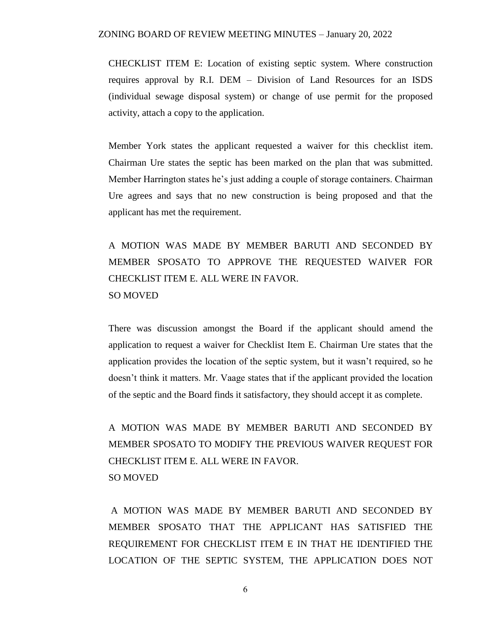CHECKLIST ITEM E: Location of existing septic system. Where construction requires approval by R.I. DEM – Division of Land Resources for an ISDS (individual sewage disposal system) or change of use permit for the proposed activity, attach a copy to the application.

Member York states the applicant requested a waiver for this checklist item. Chairman Ure states the septic has been marked on the plan that was submitted. Member Harrington states he's just adding a couple of storage containers. Chairman Ure agrees and says that no new construction is being proposed and that the applicant has met the requirement.

A MOTION WAS MADE BY MEMBER BARUTI AND SECONDED BY MEMBER SPOSATO TO APPROVE THE REQUESTED WAIVER FOR CHECKLIST ITEM E. ALL WERE IN FAVOR. SO MOVED

There was discussion amongst the Board if the applicant should amend the application to request a waiver for Checklist Item E. Chairman Ure states that the application provides the location of the septic system, but it wasn't required, so he doesn't think it matters. Mr. Vaage states that if the applicant provided the location of the septic and the Board finds it satisfactory, they should accept it as complete.

A MOTION WAS MADE BY MEMBER BARUTI AND SECONDED BY MEMBER SPOSATO TO MODIFY THE PREVIOUS WAIVER REQUEST FOR CHECKLIST ITEM E. ALL WERE IN FAVOR. SO MOVED

A MOTION WAS MADE BY MEMBER BARUTI AND SECONDED BY MEMBER SPOSATO THAT THE APPLICANT HAS SATISFIED THE REQUIREMENT FOR CHECKLIST ITEM E IN THAT HE IDENTIFIED THE LOCATION OF THE SEPTIC SYSTEM, THE APPLICATION DOES NOT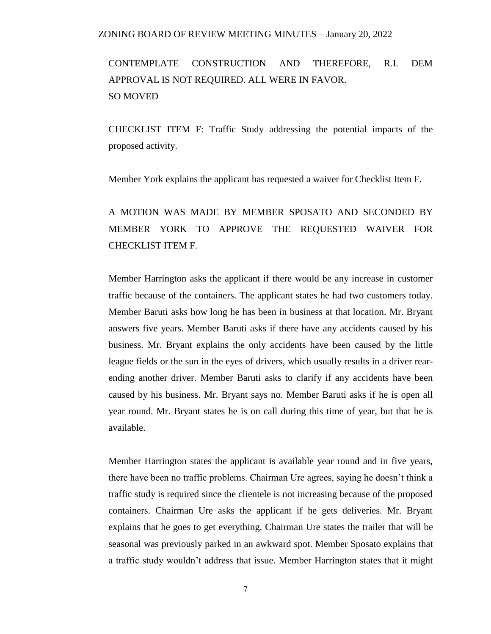# CONTEMPLATE CONSTRUCTION AND THEREFORE, R.I. DEM APPROVAL IS NOT REQUIRED. ALL WERE IN FAVOR. SO MOVED

CHECKLIST ITEM F: Traffic Study addressing the potential impacts of the proposed activity.

Member York explains the applicant has requested a waiver for Checklist Item F.

# A MOTION WAS MADE BY MEMBER SPOSATO AND SECONDED BY MEMBER YORK TO APPROVE THE REQUESTED WAIVER FOR CHECKLIST ITEM F.

Member Harrington asks the applicant if there would be any increase in customer traffic because of the containers. The applicant states he had two customers today. Member Baruti asks how long he has been in business at that location. Mr. Bryant answers five years. Member Baruti asks if there have any accidents caused by his business. Mr. Bryant explains the only accidents have been caused by the little league fields or the sun in the eyes of drivers, which usually results in a driver rearending another driver. Member Baruti asks to clarify if any accidents have been caused by his business. Mr. Bryant says no. Member Baruti asks if he is open all year round. Mr. Bryant states he is on call during this time of year, but that he is available.

Member Harrington states the applicant is available year round and in five years, there have been no traffic problems. Chairman Ure agrees, saying he doesn't think a traffic study is required since the clientele is not increasing because of the proposed containers. Chairman Ure asks the applicant if he gets deliveries. Mr. Bryant explains that he goes to get everything. Chairman Ure states the trailer that will be seasonal was previously parked in an awkward spot. Member Sposato explains that a traffic study wouldn't address that issue. Member Harrington states that it might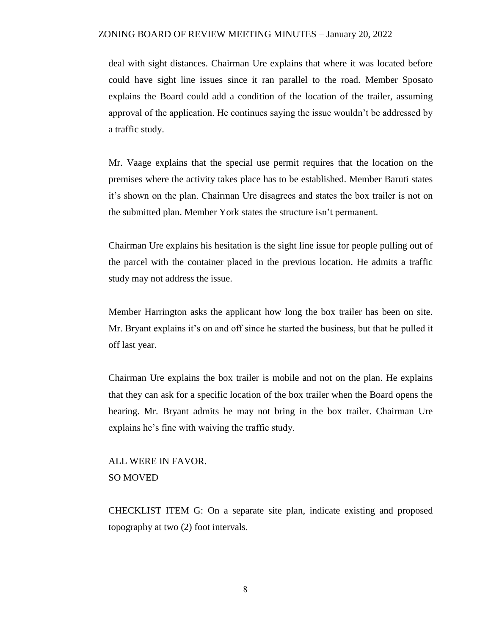deal with sight distances. Chairman Ure explains that where it was located before could have sight line issues since it ran parallel to the road. Member Sposato explains the Board could add a condition of the location of the trailer, assuming approval of the application. He continues saying the issue wouldn't be addressed by a traffic study.

Mr. Vaage explains that the special use permit requires that the location on the premises where the activity takes place has to be established. Member Baruti states it's shown on the plan. Chairman Ure disagrees and states the box trailer is not on the submitted plan. Member York states the structure isn't permanent.

Chairman Ure explains his hesitation is the sight line issue for people pulling out of the parcel with the container placed in the previous location. He admits a traffic study may not address the issue.

Member Harrington asks the applicant how long the box trailer has been on site. Mr. Bryant explains it's on and off since he started the business, but that he pulled it off last year.

Chairman Ure explains the box trailer is mobile and not on the plan. He explains that they can ask for a specific location of the box trailer when the Board opens the hearing. Mr. Bryant admits he may not bring in the box trailer. Chairman Ure explains he's fine with waiving the traffic study.

## ALL WERE IN FAVOR. SO MOVED

CHECKLIST ITEM G: On a separate site plan, indicate existing and proposed topography at two (2) foot intervals.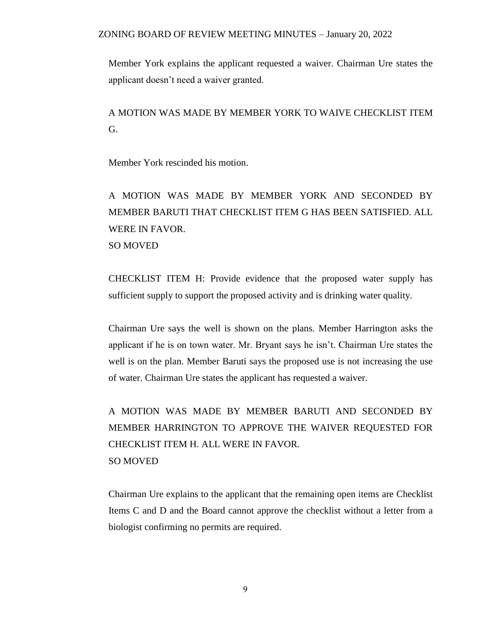Member York explains the applicant requested a waiver. Chairman Ure states the applicant doesn't need a waiver granted.

A MOTION WAS MADE BY MEMBER YORK TO WAIVE CHECKLIST ITEM G.

Member York rescinded his motion.

A MOTION WAS MADE BY MEMBER YORK AND SECONDED BY MEMBER BARUTI THAT CHECKLIST ITEM G HAS BEEN SATISFIED. ALL WERE IN FAVOR. SO MOVED

CHECKLIST ITEM H: Provide evidence that the proposed water supply has sufficient supply to support the proposed activity and is drinking water quality.

Chairman Ure says the well is shown on the plans. Member Harrington asks the applicant if he is on town water. Mr. Bryant says he isn't. Chairman Ure states the well is on the plan. Member Baruti says the proposed use is not increasing the use of water. Chairman Ure states the applicant has requested a waiver.

A MOTION WAS MADE BY MEMBER BARUTI AND SECONDED BY MEMBER HARRINGTON TO APPROVE THE WAIVER REQUESTED FOR CHECKLIST ITEM H. ALL WERE IN FAVOR. SO MOVED

Chairman Ure explains to the applicant that the remaining open items are Checklist Items C and D and the Board cannot approve the checklist without a letter from a biologist confirming no permits are required.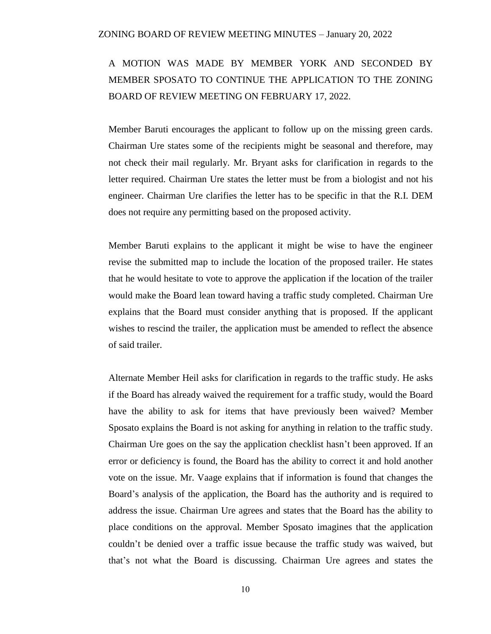# A MOTION WAS MADE BY MEMBER YORK AND SECONDED BY MEMBER SPOSATO TO CONTINUE THE APPLICATION TO THE ZONING BOARD OF REVIEW MEETING ON FEBRUARY 17, 2022.

Member Baruti encourages the applicant to follow up on the missing green cards. Chairman Ure states some of the recipients might be seasonal and therefore, may not check their mail regularly. Mr. Bryant asks for clarification in regards to the letter required. Chairman Ure states the letter must be from a biologist and not his engineer. Chairman Ure clarifies the letter has to be specific in that the R.I. DEM does not require any permitting based on the proposed activity.

Member Baruti explains to the applicant it might be wise to have the engineer revise the submitted map to include the location of the proposed trailer. He states that he would hesitate to vote to approve the application if the location of the trailer would make the Board lean toward having a traffic study completed. Chairman Ure explains that the Board must consider anything that is proposed. If the applicant wishes to rescind the trailer, the application must be amended to reflect the absence of said trailer.

Alternate Member Heil asks for clarification in regards to the traffic study. He asks if the Board has already waived the requirement for a traffic study, would the Board have the ability to ask for items that have previously been waived? Member Sposato explains the Board is not asking for anything in relation to the traffic study. Chairman Ure goes on the say the application checklist hasn't been approved. If an error or deficiency is found, the Board has the ability to correct it and hold another vote on the issue. Mr. Vaage explains that if information is found that changes the Board's analysis of the application, the Board has the authority and is required to address the issue. Chairman Ure agrees and states that the Board has the ability to place conditions on the approval. Member Sposato imagines that the application couldn't be denied over a traffic issue because the traffic study was waived, but that's not what the Board is discussing. Chairman Ure agrees and states the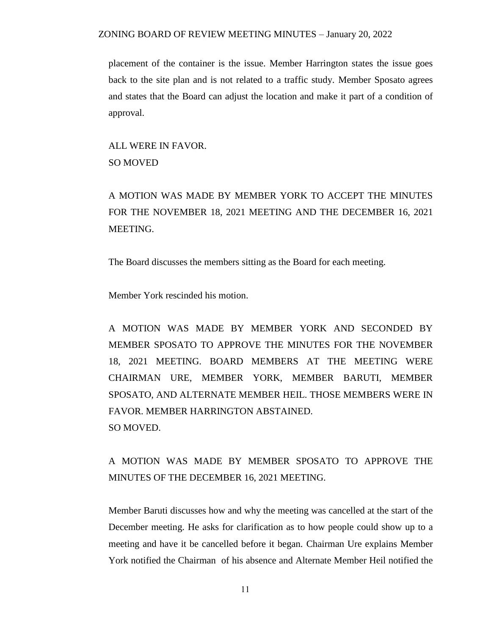placement of the container is the issue. Member Harrington states the issue goes back to the site plan and is not related to a traffic study. Member Sposato agrees and states that the Board can adjust the location and make it part of a condition of approval.

ALL WERE IN FAVOR. SO MOVED

A MOTION WAS MADE BY MEMBER YORK TO ACCEPT THE MINUTES FOR THE NOVEMBER 18, 2021 MEETING AND THE DECEMBER 16, 2021 MEETING.

The Board discusses the members sitting as the Board for each meeting.

Member York rescinded his motion.

A MOTION WAS MADE BY MEMBER YORK AND SECONDED BY MEMBER SPOSATO TO APPROVE THE MINUTES FOR THE NOVEMBER 18, 2021 MEETING. BOARD MEMBERS AT THE MEETING WERE CHAIRMAN URE, MEMBER YORK, MEMBER BARUTI, MEMBER SPOSATO, AND ALTERNATE MEMBER HEIL. THOSE MEMBERS WERE IN FAVOR. MEMBER HARRINGTON ABSTAINED. SO MOVED.

A MOTION WAS MADE BY MEMBER SPOSATO TO APPROVE THE MINUTES OF THE DECEMBER 16, 2021 MEETING.

Member Baruti discusses how and why the meeting was cancelled at the start of the December meeting. He asks for clarification as to how people could show up to a meeting and have it be cancelled before it began. Chairman Ure explains Member York notified the Chairman of his absence and Alternate Member Heil notified the